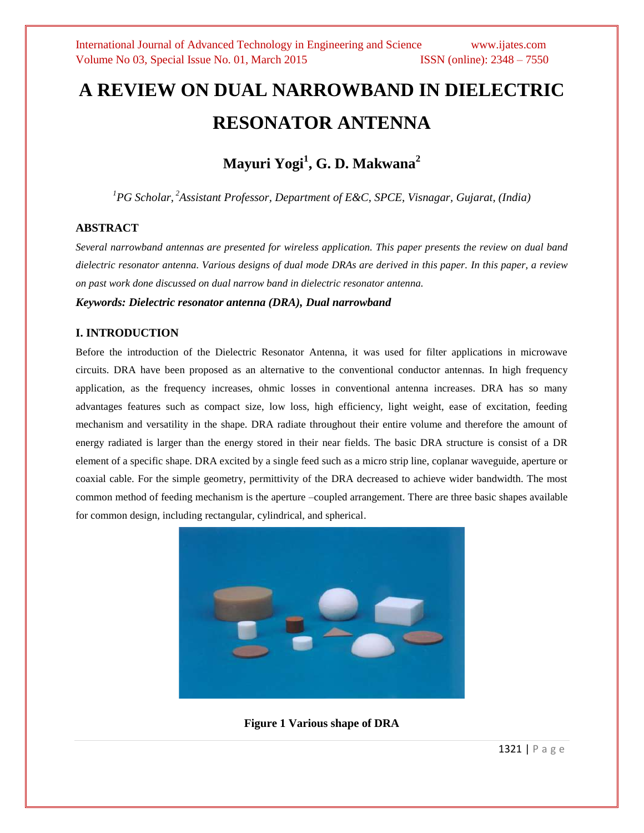# **A REVIEW ON DUAL NARROWBAND IN DIELECTRIC RESONATOR ANTENNA**

# **Mayuri Yogi<sup>1</sup> , G. D. Makwana<sup>2</sup>**

*<sup>1</sup>PG Scholar, <sup>2</sup>Assistant Professor, Department of E&C, SPCE, Visnagar, Gujarat, (India)*

#### **ABSTRACT**

*Several narrowband antennas are presented for wireless application. This paper presents the review on dual band dielectric resonator antenna. Various designs of dual mode DRAs are derived in this paper. In this paper, a review on past work done discussed on dual narrow band in dielectric resonator antenna.*

*Keywords: Dielectric resonator antenna (DRA), Dual narrowband*

#### **I. INTRODUCTION**

Before the introduction of the Dielectric Resonator Antenna, it was used for filter applications in microwave circuits. DRA have been proposed as an alternative to the conventional conductor antennas. In high frequency application, as the frequency increases, ohmic losses in conventional antenna increases. DRA has so many advantages features such as compact size, low loss, high efficiency, light weight, ease of excitation, feeding mechanism and versatility in the shape. DRA radiate throughout their entire volume and therefore the amount of energy radiated is larger than the energy stored in their near fields. The basic DRA structure is consist of a DR element of a specific shape. DRA excited by a single feed such as a micro strip line, coplanar waveguide, aperture or coaxial cable. For the simple geometry, permittivity of the DRA decreased to achieve wider bandwidth. The most common method of feeding mechanism is the aperture –coupled arrangement. There are three basic shapes available for common design, including rectangular, cylindrical, and spherical.



**Figure 1 Various shape of DRA**

1321 | P a g e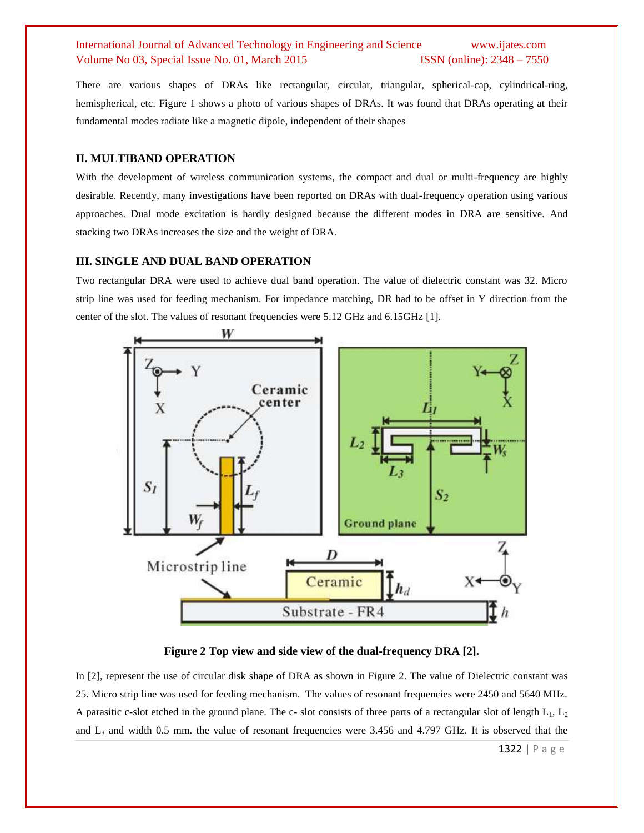# International Journal of Advanced Technology in Engineering and Science www.ijates.com Volume No 03, Special Issue No. 01, March 2015 **ISSN** (online): 2348 – 7550

There are various shapes of DRAs like rectangular, circular, triangular, spherical-cap, cylindrical-ring, hemispherical, etc. Figure 1 shows a photo of various shapes of DRAs. It was found that DRAs operating at their fundamental modes radiate like a magnetic dipole, independent of their shapes

#### **II. MULTIBAND OPERATION**

With the development of wireless communication systems, the compact and dual or multi-frequency are highly desirable. Recently, many investigations have been reported on DRAs with dual-frequency operation using various approaches. Dual mode excitation is hardly designed because the different modes in DRA are sensitive. And stacking two DRAs increases the size and the weight of DRA.

#### **III. SINGLE AND DUAL BAND OPERATION**

Two rectangular DRA were used to achieve dual band operation. The value of dielectric constant was 32. Micro strip line was used for feeding mechanism. For impedance matching, DR had to be offset in Y direction from the center of the slot. The values of resonant frequencies were 5.12 GHz and 6.15GHz [1].



**Figure 2 Top view and side view of the dual-frequency DRA [2].**

In [2], represent the use of circular disk shape of DRA as shown in Figure 2. The value of Dielectric constant was 25. Micro strip line was used for feeding mechanism. The values of resonant frequencies were 2450 and 5640 MHz. A parasitic c-slot etched in the ground plane. The c- slot consists of three parts of a rectangular slot of length  $L_1$ ,  $L_2$ and  $L_3$  and width 0.5 mm. the value of resonant frequencies were 3.456 and 4.797 GHz. It is observed that the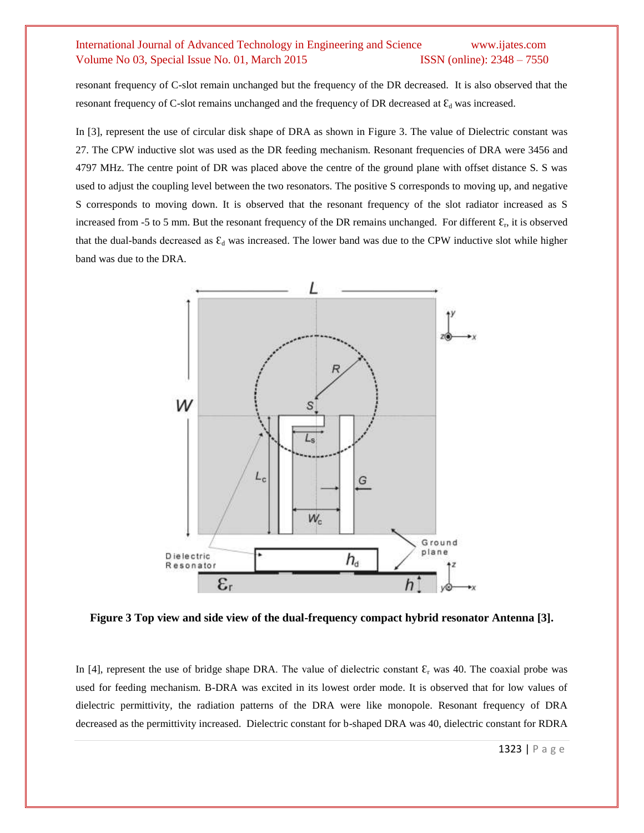### International Journal of Advanced Technology in Engineering and Science www.ijates.com Volume No 03, Special Issue No. 01, March 2015 **ISSN** (online): 2348 – 7550

resonant frequency of C-slot remain unchanged but the frequency of the DR decreased. It is also observed that the resonant frequency of C-slot remains unchanged and the frequency of DR decreased at  $\mathcal{E}_d$  was increased.

In [3], represent the use of circular disk shape of DRA as shown in Figure 3. The value of Dielectric constant was 27. The CPW inductive slot was used as the DR feeding mechanism. Resonant frequencies of DRA were 3456 and 4797 MHz. The centre point of DR was placed above the centre of the ground plane with offset distance S. S was used to adjust the coupling level between the two resonators. The positive S corresponds to moving up, and negative S corresponds to moving down. It is observed that the resonant frequency of the slot radiator increased as S increased from -5 to 5 mm. But the resonant frequency of the DR remains unchanged. For different  $\mathcal{E}_r$ , it is observed that the dual-bands decreased as  $\mathcal{E}_d$  was increased. The lower band was due to the CPW inductive slot while higher band was due to the DRA.



**Figure 3 Top view and side view of the dual-frequency compact hybrid resonator Antenna [3].**

In [4], represent the use of bridge shape DRA. The value of dielectric constant  $\mathcal{E}_r$  was 40. The coaxial probe was used for feeding mechanism. B-DRA was excited in its lowest order mode. It is observed that for low values of dielectric permittivity, the radiation patterns of the DRA were like monopole. Resonant frequency of DRA decreased as the permittivity increased. Dielectric constant for b-shaped DRA was 40, dielectric constant for RDRA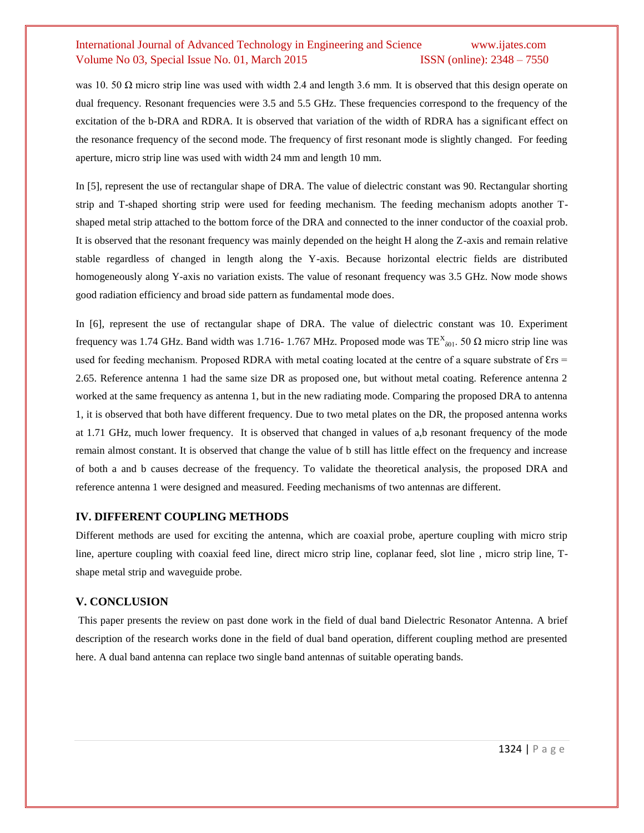## International Journal of Advanced Technology in Engineering and Science www.ijates.com Volume No 03, Special Issue No. 01, March 2015 **ISSN** (online): 2348 – 7550

was 10. 50  $\Omega$  micro strip line was used with width 2.4 and length 3.6 mm. It is observed that this design operate on dual frequency. Resonant frequencies were 3.5 and 5.5 GHz. These frequencies correspond to the frequency of the excitation of the b-DRA and RDRA. It is observed that variation of the width of RDRA has a significant effect on the resonance frequency of the second mode. The frequency of first resonant mode is slightly changed. For feeding aperture, micro strip line was used with width 24 mm and length 10 mm.

In [5], represent the use of rectangular shape of DRA. The value of dielectric constant was 90. Rectangular shorting strip and T-shaped shorting strip were used for feeding mechanism. The feeding mechanism adopts another Tshaped metal strip attached to the bottom force of the DRA and connected to the inner conductor of the coaxial prob. It is observed that the resonant frequency was mainly depended on the height H along the Z-axis and remain relative stable regardless of changed in length along the Y-axis. Because horizontal electric fields are distributed homogeneously along Y-axis no variation exists. The value of resonant frequency was 3.5 GHz. Now mode shows good radiation efficiency and broad side pattern as fundamental mode does.

In [6], represent the use of rectangular shape of DRA. The value of dielectric constant was 10. Experiment frequency was 1.74 GHz. Band width was 1.716- 1.767 MHz. Proposed mode was  $TE^X_{\delta 01}$ . 50 Ω micro strip line was used for feeding mechanism. Proposed RDRA with metal coating located at the centre of a square substrate of  $Ers =$ 2.65. Reference antenna 1 had the same size DR as proposed one, but without metal coating. Reference antenna 2 worked at the same frequency as antenna 1, but in the new radiating mode. Comparing the proposed DRA to antenna 1, it is observed that both have different frequency. Due to two metal plates on the DR, the proposed antenna works at 1.71 GHz, much lower frequency. It is observed that changed in values of a,b resonant frequency of the mode remain almost constant. It is observed that change the value of b still has little effect on the frequency and increase of both a and b causes decrease of the frequency. To validate the theoretical analysis, the proposed DRA and reference antenna 1 were designed and measured. Feeding mechanisms of two antennas are different.

#### **IV. DIFFERENT COUPLING METHODS**

Different methods are used for exciting the antenna, which are coaxial probe, aperture coupling with micro strip line, aperture coupling with coaxial feed line, direct micro strip line, coplanar feed, slot line , micro strip line, Tshape metal strip and waveguide probe.

#### **V. CONCLUSION**

This paper presents the review on past done work in the field of dual band Dielectric Resonator Antenna. A brief description of the research works done in the field of dual band operation, different coupling method are presented here. A dual band antenna can replace two single band antennas of suitable operating bands.